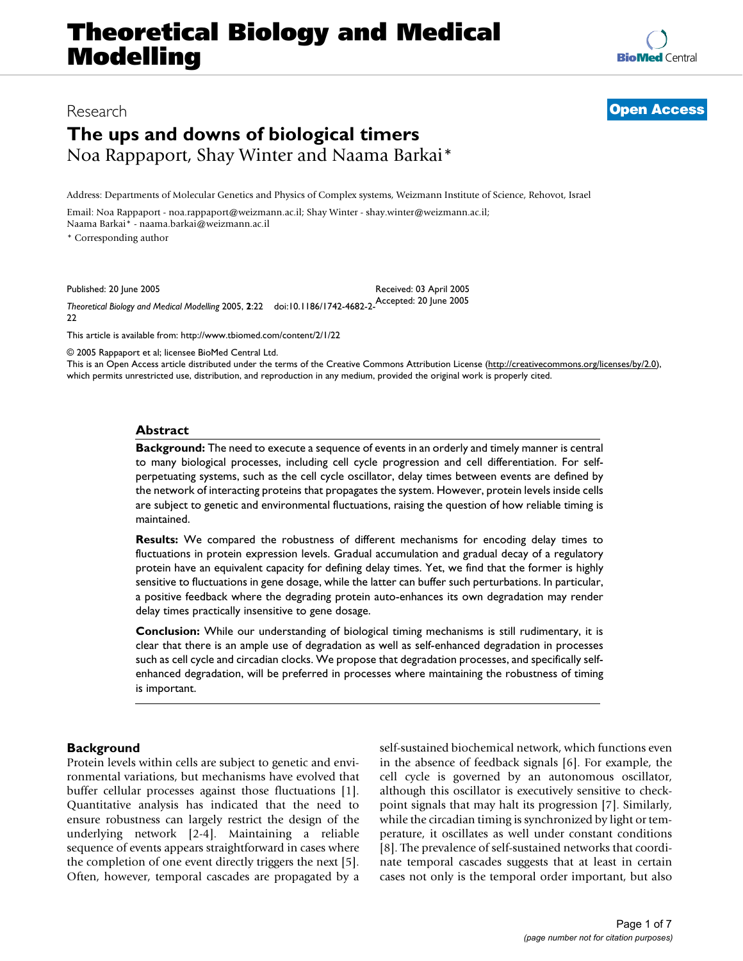# **The ups and downs of biological timers** Noa Rappaport, Shay Winter and Naama Barkai\*

Address: Departments of Molecular Genetics and Physics of Complex systems, Weizmann Institute of Science, Rehovot, Israel

Email: Noa Rappaport - noa.rappaport@weizmann.ac.il; Shay Winter - shay.winter@weizmann.ac.il; Naama Barkai\* - naama.barkai@weizmann.ac.il

\* Corresponding author

Published: 20 June 2005

Received: 03 April 2005

*Theoretical Biology and Medical Modelling* 2005, **2**:22 doi:10.1186/1742-4682-2- Accepted: 20 June 2005  $22$ 

[This article is available from: http://www.tbiomed.com/content/2/1/22](http://www.tbiomed.com/content/2/1/22)

© 2005 Rappaport et al; licensee BioMed Central Ltd.

This is an Open Access article distributed under the terms of the Creative Commons Attribution License [\(http://creativecommons.org/licenses/by/2.0\)](http://creativecommons.org/licenses/by/2.0), which permits unrestricted use, distribution, and reproduction in any medium, provided the original work is properly cited.

#### **Abstract**

**Background:** The need to execute a sequence of events in an orderly and timely manner is central to many biological processes, including cell cycle progression and cell differentiation. For selfperpetuating systems, such as the cell cycle oscillator, delay times between events are defined by the network of interacting proteins that propagates the system. However, protein levels inside cells are subject to genetic and environmental fluctuations, raising the question of how reliable timing is maintained.

**Results:** We compared the robustness of different mechanisms for encoding delay times to fluctuations in protein expression levels. Gradual accumulation and gradual decay of a regulatory protein have an equivalent capacity for defining delay times. Yet, we find that the former is highly sensitive to fluctuations in gene dosage, while the latter can buffer such perturbations. In particular, a positive feedback where the degrading protein auto-enhances its own degradation may render delay times practically insensitive to gene dosage.

**Conclusion:** While our understanding of biological timing mechanisms is still rudimentary, it is clear that there is an ample use of degradation as well as self-enhanced degradation in processes such as cell cycle and circadian clocks. We propose that degradation processes, and specifically selfenhanced degradation, will be preferred in processes where maintaining the robustness of timing is important.

#### **Background**

Protein levels within cells are subject to genetic and environmental variations, but mechanisms have evolved that buffer cellular processes against those fluctuations [1]. Quantitative analysis has indicated that the need to ensure robustness can largely restrict the design of the underlying network [2-4]. Maintaining a reliable sequence of events appears straightforward in cases where the completion of one event directly triggers the next [5]. Often, however, temporal cascades are propagated by a self-sustained biochemical network, which functions even in the absence of feedback signals [6]. For example, the cell cycle is governed by an autonomous oscillator, although this oscillator is executively sensitive to checkpoint signals that may halt its progression [7]. Similarly, while the circadian timing is synchronized by light or temperature, it oscillates as well under constant conditions [8]. The prevalence of self-sustained networks that coordinate temporal cascades suggests that at least in certain cases not only is the temporal order important, but also



## Research **[Open Access](http://www.biomedcentral.com/info/about/charter/)**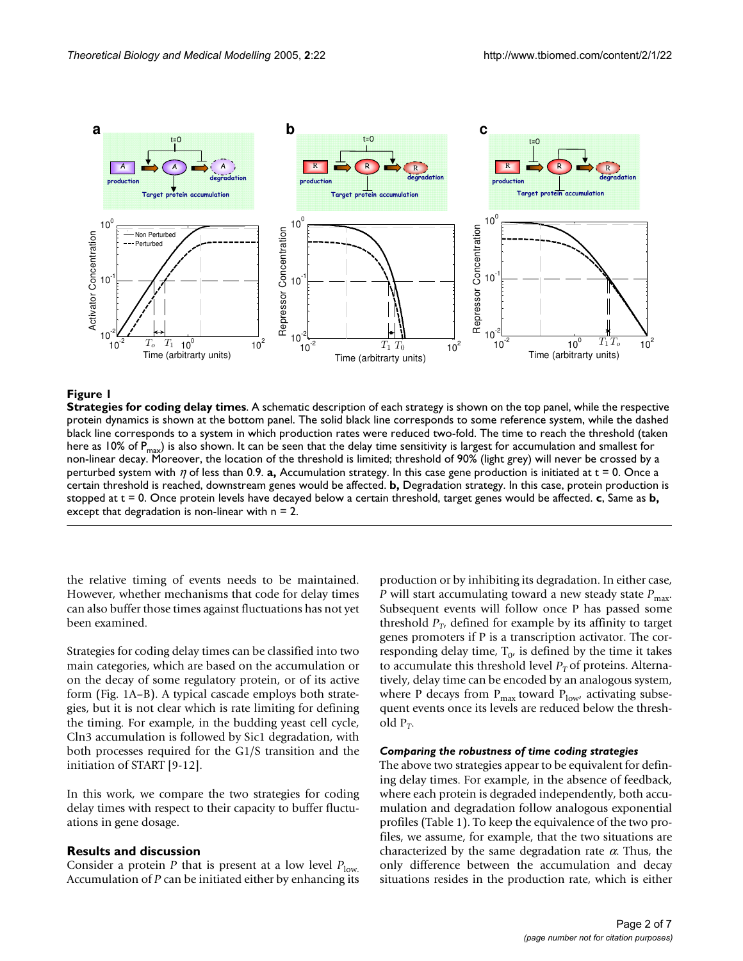

#### **Figure 1**

**Strategies for coding delay times**. A schematic description of each strategy is shown on the top panel, while the respective protein dynamics is shown at the bottom panel. The solid black line corresponds to some reference system, while the dashed black line corresponds to a system in which production rates were reduced two-fold. The time to reach the threshold (taken here as 10% of  $P_{max}$ ) is also shown. It can be seen that the delay time sensitivity is largest for accumulation and smallest for non-linear decay. Moreover, the location of the threshold is limited; threshold of 90% (light grey) will never be crossed by a perturbed system with η of less than 0.9. **a,** Accumulation strategy. In this case gene production is initiated at t = 0. Once a certain threshold is reached, downstream genes would be affected. **b,** Degradation strategy. In this case, protein production is stopped at t = 0. Once protein levels have decayed below a certain threshold, target genes would be affected. **c**, Same as **b,**  except that degradation is non-linear with  $n = 2$ .

the relative timing of events needs to be maintained. However, whether mechanisms that code for delay times can also buffer those times against fluctuations has not yet been examined.

Strategies for coding delay times can be classified into two main categories, which are based on the accumulation or on the decay of some regulatory protein, or of its active form (Fig. 1A–B). A typical cascade employs both strategies, but it is not clear which is rate limiting for defining the timing. For example, in the budding yeast cell cycle, Cln3 accumulation is followed by Sic1 degradation, with both processes required for the G1/S transition and the initiation of START [9-12].

In this work, we compare the two strategies for coding delay times with respect to their capacity to buffer fluctuations in gene dosage.

#### **Results and discussion**

Consider a protein *P* that is present at a low level  $P_{\text{low}}$ . Accumulation of *P* can be initiated either by enhancing its production or by inhibiting its degradation. In either case, *P* will start accumulating toward a new steady state  $P_{\text{max}}$ . Subsequent events will follow once P has passed some threshold  $P_T$ , defined for example by its affinity to target genes promoters if P is a transcription activator. The corresponding delay time,  $T_{0}$ , is defined by the time it takes to accumulate this threshold level  $P<sub>T</sub>$  of proteins. Alternatively, delay time can be encoded by an analogous system, where P decays from  $P_{max}$  toward  $P_{low'}$  activating subsequent events once its levels are reduced below the threshold  $P_T$ .

#### *Comparing the robustness of time coding strategies*

The above two strategies appear to be equivalent for defining delay times. For example, in the absence of feedback, where each protein is degraded independently, both accumulation and degradation follow analogous exponential profiles (Table [1](#page-2-0)). To keep the equivalence of the two profiles, we assume, for example, that the two situations are characterized by the same degradation rate  $\alpha$ . Thus, the only difference between the accumulation and decay situations resides in the production rate, which is either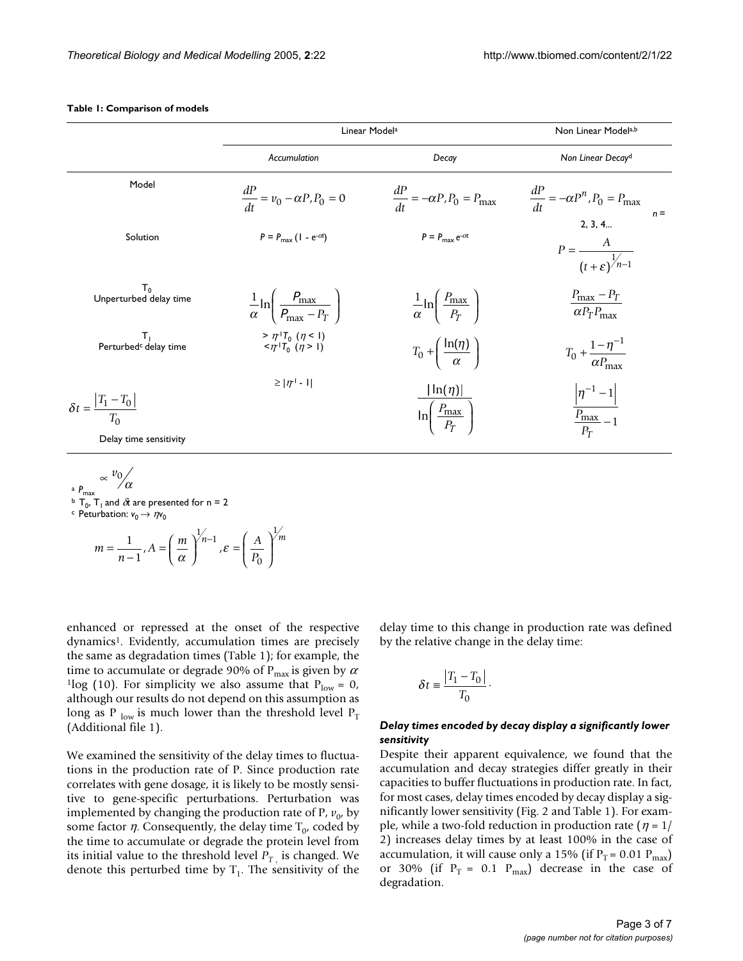|                                                                        | Linear Model <sup>a</sup>                                                                                           |                                                                             | Non Linear Modela,b                                          |
|------------------------------------------------------------------------|---------------------------------------------------------------------------------------------------------------------|-----------------------------------------------------------------------------|--------------------------------------------------------------|
|                                                                        | Accumulation                                                                                                        | Decay                                                                       | Non Linear Decay <sup>d</sup>                                |
| Model                                                                  | $\frac{dP}{dt} = v_0 - \alpha P, P_0 = 0$                                                                           | $\frac{dP}{dt} = -\alpha P, P_0 = P_{\text{max}}$                           | $\frac{dP}{dt} = -\alpha P^n, P_0 = P_{\text{max}}$<br>$n =$ |
| Solution                                                               | $P = P_{\text{max}} (1 - e^{-\alpha t})$                                                                            | $P = P_{\text{max}} e^{-\alpha t}$                                          | 2, 3, 4<br>$P = \frac{A}{(t+\varepsilon)^{1/n-1}}$           |
| $T_{0}$<br>Unperturbed delay time                                      | $\frac{1}{\alpha}$ ln $\left(\frac{P_{\text{max}}}{P_{\text{max}}-P_T}\right)$                                      | $\frac{1}{\alpha}$ ln $\left(\frac{P_{\text{max}}}{P_T}\right)$             | $P_{\text{max}} - P_T$<br>$\alpha P_T P_{\text{max}}$        |
| т,<br>Perturbed <sup>c</sup> delay time                                | $> \eta^{_{\textrm{+}}}\boldsymbol{T}_{_{\textrm{0}}}$ $(\eta < 1)$<br>$\langle \eta^{1}T_{0}^{(1)}(\eta>1)\rangle$ | $T_0 + \left(\frac{\ln(\eta)}{\alpha}\right)$                               | $T_0 + \frac{1-\eta^{-1}}{\alpha P_{\text{max}}}$            |
| $\delta t = \frac{ T_1 - T_0 }{ T_1 - T_0 }$<br>Delay time sensitivity | $\geq  \eta $ - I                                                                                                   | $\lfloor \ln(\eta) \rfloor$<br>$\ln\left(\frac{P_{\text{max}}}{P_T}\right)$ | $ \eta^{-1} - 1 $<br>$P_{\text{max}}$ – 1<br>$P_T$           |

#### <span id="page-2-0"></span>**Table 1: Comparison of models**

$$
\propto \frac{v_0}{r_{\text{max}}}
$$
\n
$$
\propto \frac{v_0}{\sqrt{\alpha}}
$$
\n
$$
\propto \frac{v_{\text{max}}}{r_0 \cdot T_1 \text{ and } \alpha \text{ are presented for } n = 2}
$$
\n
$$
m = \frac{1}{n-1}, A = \left(\frac{m}{\alpha}\right)^{1/n-1}, \varepsilon = \left(\frac{A}{P_0}\right)^{1/m}
$$

enhanced or repressed at the onset of the respective dynamics<sup>1</sup>. Evidently, accumulation times are precisely the same as degradation times (Table [1\)](#page-2-0); for example, the time to accumulate or degrade 90% of  $P_{\text{max}}$  is given by  $\alpha$ <sup>1</sup>log (10). For simplicity we also assume that  $P_{low} = 0$ , although our results do not depend on this assumption as long as P  $_{\text{low}}$  is much lower than the threshold level  $P_T$ (Additional file 1).

We examined the sensitivity of the delay times to fluctuations in the production rate of P. Since production rate correlates with gene dosage, it is likely to be mostly sensitive to gene-specific perturbations. Perturbation was implemented by changing the production rate of  $P$ ,  $v_0$ , by some factor  $\eta$ . Consequently, the delay time  $T_{0}$ , coded by the time to accumulate or degrade the protein level from its initial value to the threshold level  $P_{T_{\ell}}$  is changed. We denote this perturbed time by  $T_1$ . The sensitivity of the delay time to this change in production rate was defined by the relative change in the delay time:

$$
\delta t \equiv \frac{|T_1 - T_0|}{T_0}.
$$

#### *Delay times encoded by decay display a significantly lower sensitivity*

Despite their apparent equivalence, we found that the accumulation and decay strategies differ greatly in their capacities to buffer fluctuations in production rate. In fact, for most cases, delay times encoded by decay display a significantly lower sensitivity (Fig. 2 and Table [1\)](#page-2-0). For example, while a two-fold reduction in production rate ( $\eta = 1/$ 2) increases delay times by at least 100% in the case of accumulation, it will cause only a 15% (if  $P_T = 0.01 P_{max}$ ) or 30% (if  $P_T = 0.1$   $P_{max}$ ) decrease in the case of degradation.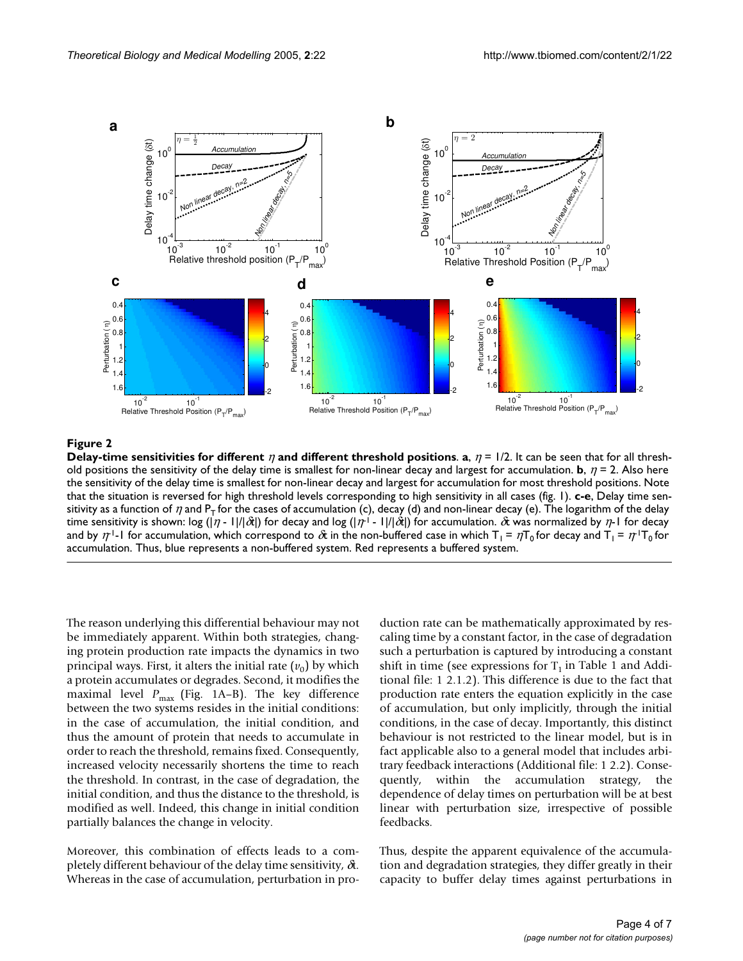

#### **Figure 2**

**Delay-time sensitivities for different**  $\eta$  **and different threshold positions. <b>a**,  $\eta = 1/2$ . It can be seen that for all threshold positions the sensitivity of the delay time is smallest for non-linear decay and largest for accumulation. **b**,  $\eta$  = 2. Also here the sensitivity of the delay time is smallest for non-linear decay and largest for accumulation for most threshold positions. Note that the situation is reversed for high threshold levels corresponding to high sensitivity in all cases (fig. 1). **c-e**, Delay time sensitivity as a function of  $\eta$  and  $P_T$  for the cases of accumulation (c), decay (d) and non-linear decay (e). The logarithm of the delay time sensitivity is shown: log (|η - 1|/|δ*t*|) for decay and log (|η-1 - 1|/|δ*t*|) for accumulation. δt was normalized by η-1 for decay and by  $\eta^{-1}$ -1 for accumulation, which correspond to  $\hat{\alpha}$  in the non-buffered case in which  $T_1 = \eta T_0$  for decay and  $T_1 = \eta^+T_0$  for accumulation. Thus, blue represents a non-buffered system. Red represents a buffered system.

The reason underlying this differential behaviour may not be immediately apparent. Within both strategies, changing protein production rate impacts the dynamics in two principal ways. First, it alters the initial rate  $(v_0)$  by which a protein accumulates or degrades. Second, it modifies the maximal level  $P_{\text{max}}$  (Fig. 1A–B). The key difference between the two systems resides in the initial conditions: in the case of accumulation, the initial condition, and thus the amount of protein that needs to accumulate in order to reach the threshold, remains fixed. Consequently, increased velocity necessarily shortens the time to reach the threshold. In contrast, in the case of degradation, the initial condition, and thus the distance to the threshold, is modified as well. Indeed, this change in initial condition partially balances the change in velocity.

Moreover, this combination of effects leads to a completely different behaviour of the delay time sensitivity,  $\delta t$ . Whereas in the case of accumulation, perturbation in production rate can be mathematically approximated by rescaling time by a constant factor, in the case of degradation such a perturbation is captured by introducing a constant shift in time (see expressions for  $T_1$  in Table [1](#page-2-0) and Additional file: 1 2.1.2). This difference is due to the fact that production rate enters the equation explicitly in the case of accumulation, but only implicitly, through the initial conditions, in the case of decay. Importantly, this distinct behaviour is not restricted to the linear model, but is in fact applicable also to a general model that includes arbitrary feedback interactions (Additional file: 1 2.2). Consequently, within the accumulation strategy, the dependence of delay times on perturbation will be at best linear with perturbation size, irrespective of possible feedbacks.

Thus, despite the apparent equivalence of the accumulation and degradation strategies, they differ greatly in their capacity to buffer delay times against perturbations in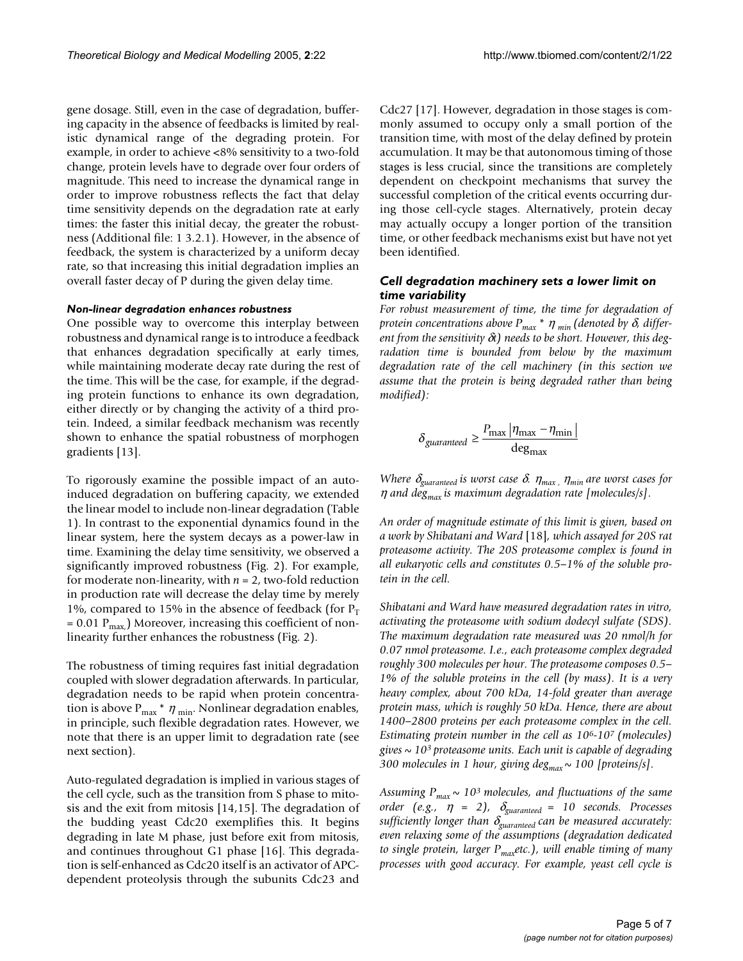gene dosage. Still, even in the case of degradation, buffering capacity in the absence of feedbacks is limited by realistic dynamical range of the degrading protein. For example, in order to achieve <8% sensitivity to a two-fold change, protein levels have to degrade over four orders of magnitude. This need to increase the dynamical range in order to improve robustness reflects the fact that delay time sensitivity depends on the degradation rate at early times: the faster this initial decay, the greater the robustness (Additional file: 1 3.2.1). However, in the absence of feedback, the system is characterized by a uniform decay rate, so that increasing this initial degradation implies an overall faster decay of P during the given delay time.

#### *Non-linear degradation enhances robustness*

One possible way to overcome this interplay between robustness and dynamical range is to introduce a feedback that enhances degradation specifically at early times, while maintaining moderate decay rate during the rest of the time. This will be the case, for example, if the degrading protein functions to enhance its own degradation, either directly or by changing the activity of a third protein. Indeed, a similar feedback mechanism was recently shown to enhance the spatial robustness of morphogen gradients [13].

To rigorously examine the possible impact of an autoinduced degradation on buffering capacity, we extended the linear model to include non-linear degradation (Table [1\)](#page-2-0). In contrast to the exponential dynamics found in the linear system, here the system decays as a power-law in time. Examining the delay time sensitivity, we observed a significantly improved robustness (Fig. 2). For example, for moderate non-linearity, with  $n = 2$ , two-fold reduction in production rate will decrease the delay time by merely 1%, compared to 15% in the absence of feedback (for  $P_T$ )  $= 0.01$  P<sub>max</sub>) Moreover, increasing this coefficient of nonlinearity further enhances the robustness (Fig. 2).

The robustness of timing requires fast initial degradation coupled with slower degradation afterwards. In particular, degradation needs to be rapid when protein concentration is above  $P_{\text{max}} * \eta_{\text{min}}$ . Nonlinear degradation enables, in principle, such flexible degradation rates. However, we note that there is an upper limit to degradation rate (see next section).

Auto-regulated degradation is implied in various stages of the cell cycle, such as the transition from S phase to mitosis and the exit from mitosis [14,15]. The degradation of the budding yeast Cdc20 exemplifies this. It begins degrading in late M phase, just before exit from mitosis, and continues throughout G1 phase [16]. This degradation is self-enhanced as Cdc20 itself is an activator of APCdependent proteolysis through the subunits Cdc23 and

Cdc27 [17]. However, degradation in those stages is commonly assumed to occupy only a small portion of the transition time, with most of the delay defined by protein accumulation. It may be that autonomous timing of those stages is less crucial, since the transitions are completely dependent on checkpoint mechanisms that survey the successful completion of the critical events occurring during those cell-cycle stages. Alternatively, protein decay may actually occupy a longer portion of the transition time, or other feedback mechanisms exist but have not yet been identified.

#### *Cell degradation machinery sets a lower limit on time variability*

*For robust measurement of time, the time for degradation of protein concentrations above Pmax \** <sup>η</sup> *min (denoted by* <sup>δ</sup>*, different from the sensitivity* δ*t) needs to be short. However, this degradation time is bounded from below by the maximum degradation rate of the cell machinery (in this section we assume that the protein is being degraded rather than being modified):*

$$
\delta_{guaranteed} \ge \frac{P_{\text{max}} \left| \eta_{\text{max}} - \eta_{\text{min}} \right|}{\text{deg}_{\text{max}}}
$$

*Where*  $\delta_{\text{guaranteed}}$  *is worst case*  $\delta$ *.*  $\eta_{\text{max}}$ *,*  $\eta_{\text{min}}$  *are worst cases for* <sup>η</sup> *and degmax is maximum degradation rate [molecules/s]*.

*An order of magnitude estimate of this limit is given, based on a work by Shibatani and Ward* [18]*, which assayed for 20S rat proteasome activity. The 20S proteasome complex is found in all eukaryotic cells and constitutes 0.5–1% of the soluble protein in the cell.*

*Shibatani and Ward have measured degradation rates in vitro, activating the proteasome with sodium dodecyl sulfate (SDS). The maximum degradation rate measured was 20 nmol/h for 0.07 nmol proteasome. I.e., each proteasome complex degraded roughly 300 molecules per hour. The proteasome composes 0.5– 1% of the soluble proteins in the cell (by mass). It is a very heavy complex, about 700 kDa, 14-fold greater than average protein mass, which is roughly 50 kDa. Hence, there are about 1400–2800 proteins per each proteasome complex in the cell. Estimating protein number in the cell as 106-107 (molecules) gives ~ 103 proteasome units. Each unit is capable of degrading 300 molecules in 1 hour, giving deg<sub>max</sub>*  $\sim$  *100 [proteins/s].* 

Assuming  $P_{max} \sim 10^3$  molecules, and fluctuations of the same *order* (e.g.,  $\eta = 2$ ),  $\delta_{\text{guaranteed}} = 10$  seconds. Processes *sufficiently longer than* <sup>δ</sup>*guaranteed can be measured accurately: even relaxing some of the assumptions (degradation dedicated to single protein, larger Pmaxetc.), will enable timing of many processes with good accuracy. For example, yeast cell cycle is*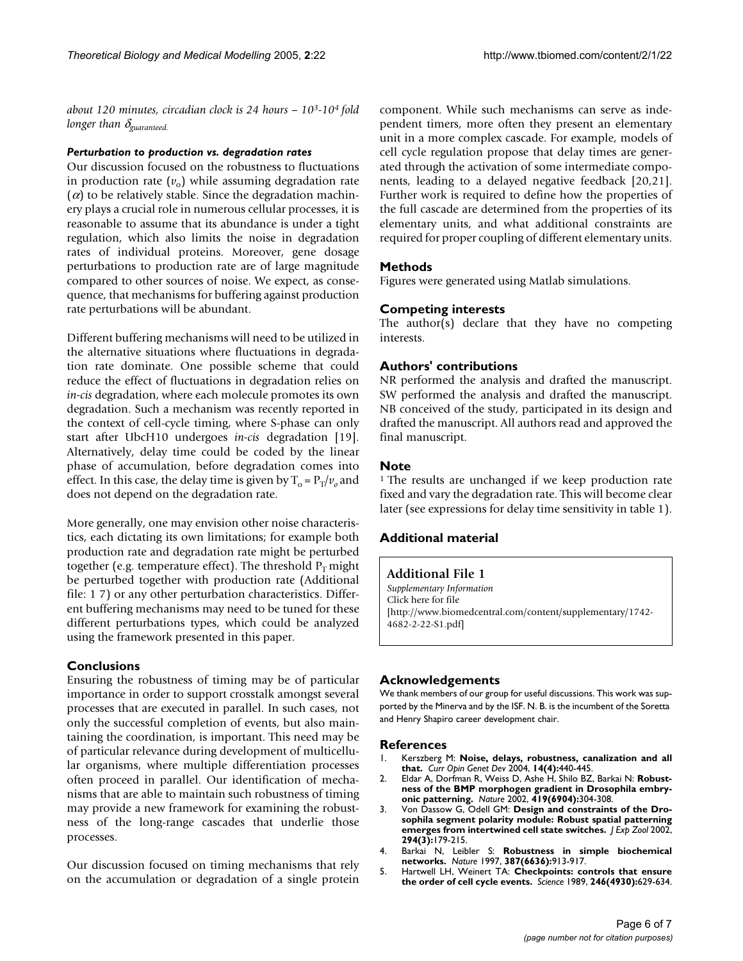*about 120 minutes, circadian clock is 24 hours – 103-104 fold longer than* δ*guaranteed.*

#### *Perturbation to production vs. degradation rates*

Our discussion focused on the robustness to fluctuations in production rate  $(v_0)$  while assuming degradation rate  $(\alpha)$  to be relatively stable. Since the degradation machinery plays a crucial role in numerous cellular processes, it is reasonable to assume that its abundance is under a tight regulation, which also limits the noise in degradation rates of individual proteins. Moreover, gene dosage perturbations to production rate are of large magnitude compared to other sources of noise. We expect, as consequence, that mechanisms for buffering against production rate perturbations will be abundant.

Different buffering mechanisms will need to be utilized in the alternative situations where fluctuations in degradation rate dominate. One possible scheme that could reduce the effect of fluctuations in degradation relies on *in-cis* degradation, where each molecule promotes its own degradation. Such a mechanism was recently reported in the context of cell-cycle timing, where S-phase can only start after UbcH10 undergoes *in-cis* degradation [19]. Alternatively, delay time could be coded by the linear phase of accumulation, before degradation comes into effect. In this case, the delay time is given by  $T_0 = P_T/v_0$  and does not depend on the degradation rate.

More generally, one may envision other noise characteristics, each dictating its own limitations; for example both production rate and degradation rate might be perturbed together (e.g. temperature effect). The threshold  $P_T$  might be perturbed together with production rate (Additional file: 1 7) or any other perturbation characteristics. Different buffering mechanisms may need to be tuned for these different perturbations types, which could be analyzed using the framework presented in this paper.

#### **Conclusions**

Ensuring the robustness of timing may be of particular importance in order to support crosstalk amongst several processes that are executed in parallel. In such cases, not only the successful completion of events, but also maintaining the coordination, is important. This need may be of particular relevance during development of multicellular organisms, where multiple differentiation processes often proceed in parallel. Our identification of mechanisms that are able to maintain such robustness of timing may provide a new framework for examining the robustness of the long-range cascades that underlie those processes.

Our discussion focused on timing mechanisms that rely on the accumulation or degradation of a single protein component. While such mechanisms can serve as independent timers, more often they present an elementary unit in a more complex cascade. For example, models of cell cycle regulation propose that delay times are generated through the activation of some intermediate components, leading to a delayed negative feedback [20,21]. Further work is required to define how the properties of the full cascade are determined from the properties of its elementary units, and what additional constraints are required for proper coupling of different elementary units.

#### **Methods**

Figures were generated using Matlab simulations.

#### **Competing interests**

The author(s) declare that they have no competing interests.

#### **Authors' contributions**

NR performed the analysis and drafted the manuscript. SW performed the analysis and drafted the manuscript. NB conceived of the study, participated in its design and drafted the manuscript. All authors read and approved the final manuscript.

#### **Note**

<sup>1</sup> The results are unchanged if we keep production rate fixed and vary the degradation rate. This will become clear later (see expressions for delay time sensitivity in table [1\)](#page-2-0).

#### **Additional material**

### **Additional File 1**

*Supplementary Information* Click here for file [\[http://www.biomedcentral.com/content/supplementary/1742-](http://www.biomedcentral.com/content/supplementary/1742-4682-2-22-S1.pdf) 4682-2-22-S1.pdf]

#### **Acknowledgements**

We thank members of our group for useful discussions. This work was supported by the Minerva and by the ISF. N. B. is the incumbent of the Soretta and Henry Shapiro career development chair.

#### **References**

- 1. Kerszberg M: **[Noise, delays, robustness, canalization and all](http://www.ncbi.nlm.nih.gov/entrez/query.fcgi?cmd=Retrieve&db=PubMed&dopt=Abstract&list_uids=15261662) [that.](http://www.ncbi.nlm.nih.gov/entrez/query.fcgi?cmd=Retrieve&db=PubMed&dopt=Abstract&list_uids=15261662)** *Curr Opin Genet Dev* 2004, **14(4):**440-445.
- 2. Eldar A, Dorfman R, Weiss D, Ashe H, Shilo BZ, Barkai N: **[Robust](http://www.ncbi.nlm.nih.gov/entrez/query.fcgi?cmd=Retrieve&db=PubMed&dopt=Abstract&list_uids=12239569)[ness of the BMP morphogen gradient in Drosophila embry](http://www.ncbi.nlm.nih.gov/entrez/query.fcgi?cmd=Retrieve&db=PubMed&dopt=Abstract&list_uids=12239569)[onic patterning.](http://www.ncbi.nlm.nih.gov/entrez/query.fcgi?cmd=Retrieve&db=PubMed&dopt=Abstract&list_uids=12239569)** *Nature* 2002, **419(6904):**304-308.
- 3. Von Dassow G, Odell GM: **[Design and constraints of the Dro](http://www.ncbi.nlm.nih.gov/entrez/query.fcgi?cmd=Retrieve&db=PubMed&dopt=Abstract&list_uids=12362429)[sophila segment polarity module: Robust spatial patterning](http://www.ncbi.nlm.nih.gov/entrez/query.fcgi?cmd=Retrieve&db=PubMed&dopt=Abstract&list_uids=12362429) [emerges from intertwined cell state switches.](http://www.ncbi.nlm.nih.gov/entrez/query.fcgi?cmd=Retrieve&db=PubMed&dopt=Abstract&list_uids=12362429)** *J Exp Zool* 2002, **294(3):**179-215.
- 4. Barkai N, Leibler S: **[Robustness in simple biochemical](http://www.ncbi.nlm.nih.gov/entrez/query.fcgi?cmd=Retrieve&db=PubMed&dopt=Abstract&list_uids=9202124) [networks.](http://www.ncbi.nlm.nih.gov/entrez/query.fcgi?cmd=Retrieve&db=PubMed&dopt=Abstract&list_uids=9202124)** *Nature* 1997, **387(6636):**913-917.
- 5. Hartwell LH, Weinert TA: **[Checkpoints: controls that ensure](http://www.ncbi.nlm.nih.gov/entrez/query.fcgi?cmd=Retrieve&db=PubMed&dopt=Abstract&list_uids=2683079) [the order of cell cycle events.](http://www.ncbi.nlm.nih.gov/entrez/query.fcgi?cmd=Retrieve&db=PubMed&dopt=Abstract&list_uids=2683079)** *Science* 1989, **246(4930):**629-634.